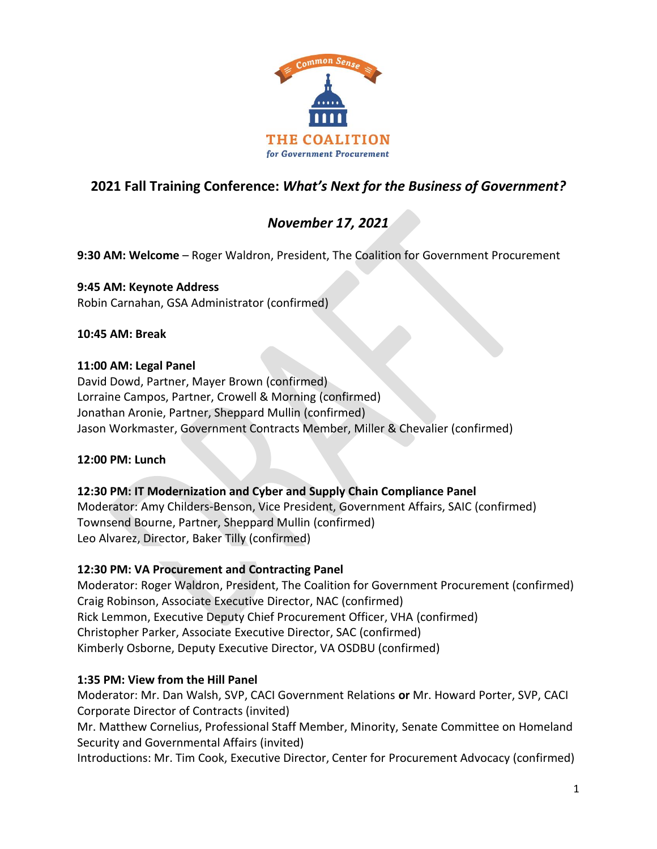

# **2021 Fall Training Conference:** *What's Next for the Business of Government?*

# *November 17, 2021*

**9:30 AM: Welcome** – Roger Waldron, President, The Coalition for Government Procurement

### **9:45 AM: Keynote Address**

Robin Carnahan, GSA Administrator (confirmed)

### **10:45 AM: Break**

### **11:00 AM: Legal Panel**

David Dowd, Partner, Mayer Brown (confirmed) Lorraine Campos, Partner, Crowell & Morning (confirmed) Jonathan Aronie, Partner, Sheppard Mullin (confirmed) Jason Workmaster, Government Contracts Member, Miller & Chevalier (confirmed)

### **12:00 PM: Lunch**

### **12:30 PM: IT Modernization and Cyber and Supply Chain Compliance Panel**

Moderator: Amy Childers-Benson, Vice President, Government Affairs, SAIC (confirmed) Townsend Bourne, Partner, Sheppard Mullin (confirmed) Leo Alvarez, Director, Baker Tilly (confirmed)

### **12:30 PM: VA Procurement and Contracting Panel**

Moderator: Roger Waldron, President, The Coalition for Government Procurement (confirmed) Craig Robinson, Associate Executive Director, NAC (confirmed) Rick Lemmon, Executive Deputy Chief Procurement Officer, VHA (confirmed) Christopher Parker, Associate Executive Director, SAC (confirmed) Kimberly Osborne, Deputy Executive Director, VA OSDBU (confirmed)

### **1:35 PM: View from the Hill Panel**

Moderator: Mr. Dan Walsh, SVP, CACI Government Relations **or** Mr. Howard Porter, SVP, CACI Corporate Director of Contracts (invited) Mr. Matthew Cornelius, Professional Staff Member, Minority, Senate Committee on Homeland Security and Governmental Affairs (invited)

Introductions: Mr. Tim Cook, Executive Director, Center for Procurement Advocacy (confirmed)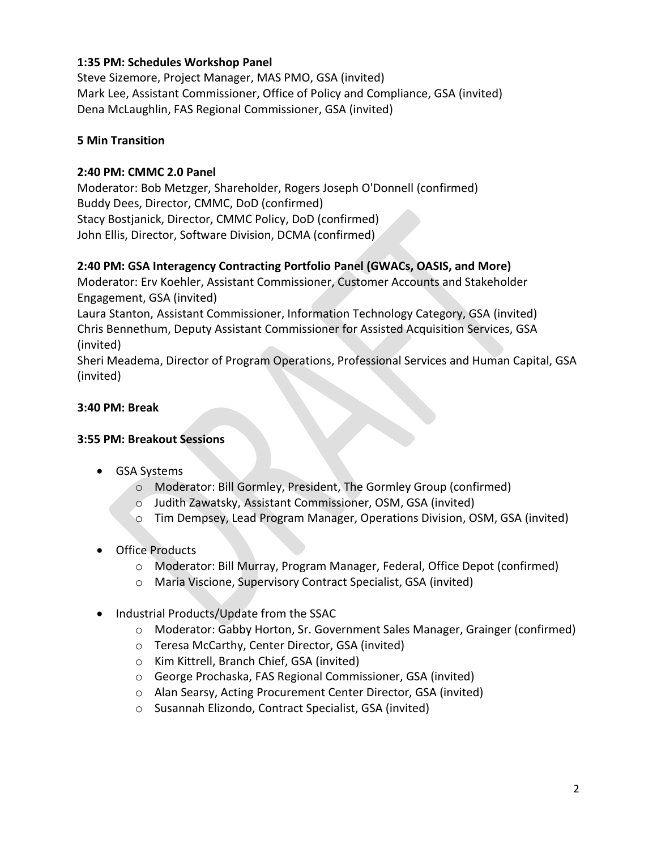### **1:35 PM: Schedules Workshop Panel**

Steve Sizemore, Project Manager, MAS PMO, GSA (invited) Mark Lee, Assistant Commissioner, Office of Policy and Compliance, GSA (invited) Dena McLaughlin, FAS Regional Commissioner, GSA (invited)

### **5 Min Transition**

### **2:40 PM: CMMC 2.0 Panel**

Moderator: Bob Metzger, Shareholder, Rogers Joseph O'Donnell (confirmed) Buddy Dees, Director, CMMC, DoD (confirmed) Stacy Bostjanick, Director, CMMC Policy, DoD (confirmed) John Ellis, Director, Software Division, DCMA (confirmed)

# **2:40 PM: GSA Interagency Contracting Portfolio Panel (GWACs, OASIS, and More)**

Moderator: Erv Koehler, Assistant Commissioner, Customer Accounts and Stakeholder Engagement, GSA (invited)

Laura Stanton, Assistant Commissioner, Information Technology Category, GSA (invited) Chris Bennethum, Deputy Assistant Commissioner for Assisted Acquisition Services, GSA (invited)

Sheri Meadema, Director of Program Operations, Professional Services and Human Capital, GSA (invited)

# **3:40 PM: Break**

### **3:55 PM: Breakout Sessions**

- GSA Systems
	- o Moderator: Bill Gormley, President, The Gormley Group (confirmed)
	- o Judith Zawatsky, Assistant Commissioner, OSM, GSA (invited)
	- o Tim Dempsey, Lead Program Manager, Operations Division, OSM, GSA (invited)
- Office Products
	- o Moderator: Bill Murray, Program Manager, Federal, Office Depot (confirmed)
	- o Maria Viscione, Supervisory Contract Specialist, GSA (invited)
- Industrial Products/Update from the SSAC
	- o Moderator: Gabby Horton, Sr. Government Sales Manager, Grainger (confirmed)
	- o Teresa McCarthy, Center Director, GSA (invited)
	- o Kim Kittrell, Branch Chief, GSA (invited)
	- o George Prochaska, FAS Regional Commissioner, GSA (invited)
	- o Alan Searsy, Acting Procurement Center Director, GSA (invited)
	- o Susannah Elizondo, Contract Specialist, GSA (invited)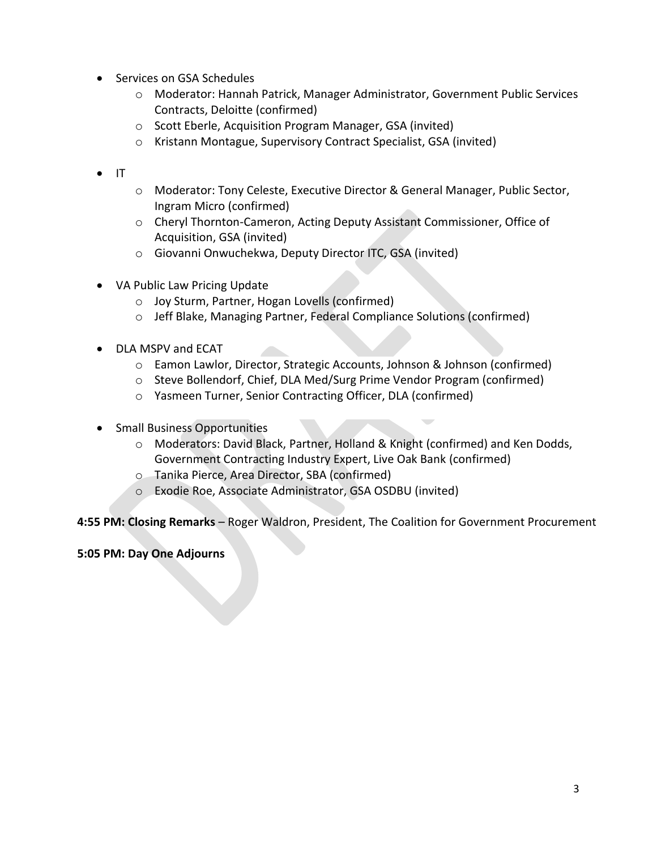- Services on GSA Schedules
	- o Moderator: Hannah Patrick, Manager Administrator, Government Public Services Contracts, Deloitte (confirmed)
	- o Scott Eberle, Acquisition Program Manager, GSA (invited)
	- o Kristann Montague, Supervisory Contract Specialist, GSA (invited)
- IT
- o Moderator: Tony Celeste, Executive Director & General Manager, Public Sector, Ingram Micro (confirmed)
- o Cheryl Thornton-Cameron, Acting Deputy Assistant Commissioner, Office of Acquisition, GSA (invited)
- o Giovanni Onwuchekwa, Deputy Director ITC, GSA (invited)
- VA Public Law Pricing Update
	- o Joy Sturm, Partner, Hogan Lovells (confirmed)
	- o Jeff Blake, Managing Partner, Federal Compliance Solutions (confirmed)
- DLA MSPV and ECAT
	- o Eamon Lawlor, Director, Strategic Accounts, Johnson & Johnson (confirmed)
	- o Steve Bollendorf, Chief, DLA Med/Surg Prime Vendor Program (confirmed)
	- o Yasmeen Turner, Senior Contracting Officer, DLA (confirmed)
- Small Business Opportunities
	- o Moderators: David Black, Partner, Holland & Knight (confirmed) and Ken Dodds, Government Contracting Industry Expert, Live Oak Bank (confirmed)
	- o Tanika Pierce, Area Director, SBA (confirmed)
	- o Exodie Roe, Associate Administrator, GSA OSDBU (invited)

**4:55 PM: Closing Remarks** – Roger Waldron, President, The Coalition for Government Procurement

**5:05 PM: Day One Adjourns**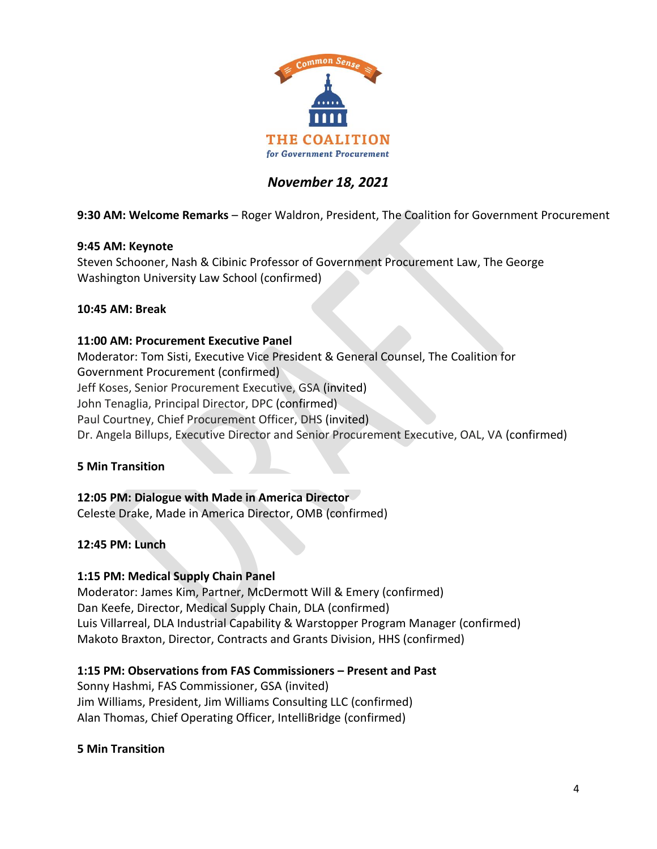

# *November 18, 2021*

**9:30 AM: Welcome Remarks** – Roger Waldron, President, The Coalition for Government Procurement

### **9:45 AM: Keynote**

Steven Schooner, Nash & Cibinic Professor of Government Procurement Law, The George Washington University Law School (confirmed)

### **10:45 AM: Break**

### **11:00 AM: Procurement Executive Panel**

Moderator: Tom Sisti, Executive Vice President & General Counsel, The Coalition for Government Procurement (confirmed) Jeff Koses, Senior Procurement Executive, GSA (invited) John Tenaglia, Principal Director, DPC (confirmed) Paul Courtney, Chief Procurement Officer, DHS (invited) Dr. Angela Billups, Executive Director and Senior Procurement Executive, OAL, VA (confirmed)

### **5 Min Transition**

### **12:05 PM: Dialogue with Made in America Director**

Celeste Drake, Made in America Director, OMB (confirmed)

### **12:45 PM: Lunch**

### **1:15 PM: Medical Supply Chain Panel**

Moderator: James Kim, Partner, McDermott Will & Emery (confirmed) Dan Keefe, Director, Medical Supply Chain, DLA (confirmed) Luis Villarreal, DLA Industrial Capability & Warstopper Program Manager (confirmed) Makoto Braxton, Director, Contracts and Grants Division, HHS (confirmed)

### **1:15 PM: Observations from FAS Commissioners – Present and Past**

Sonny Hashmi, FAS Commissioner, GSA (invited) Jim Williams, President, Jim Williams Consulting LLC (confirmed) Alan Thomas, Chief Operating Officer, IntelliBridge (confirmed)

**5 Min Transition**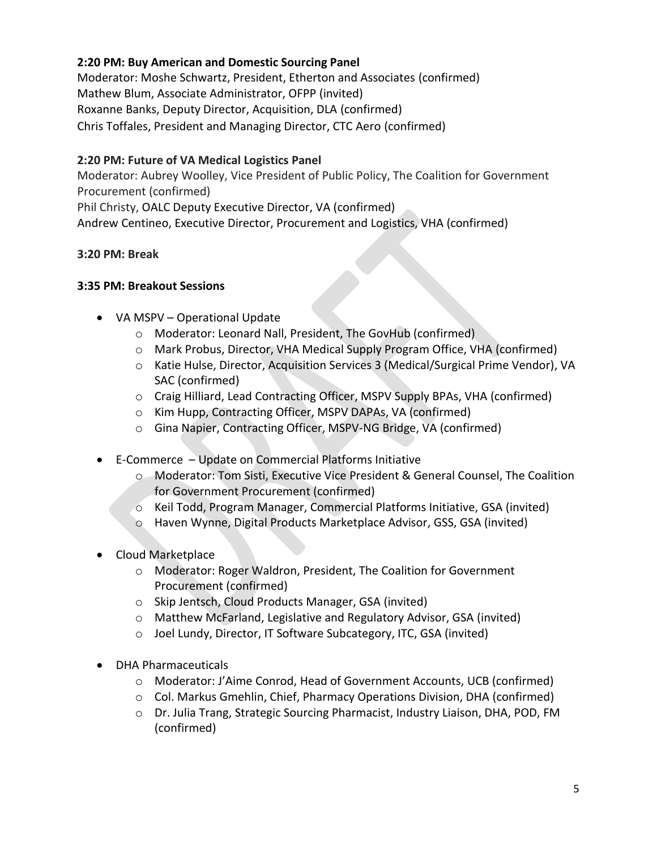### **2:20 PM: Buy American and Domestic Sourcing Panel**

Moderator: Moshe Schwartz, President, Etherton and Associates (confirmed) Mathew Blum, Associate Administrator, OFPP (invited) Roxanne Banks, Deputy Director, Acquisition, DLA (confirmed) Chris Toffales, President and Managing Director, CTC Aero (confirmed)

# **2:20 PM: Future of VA Medical Logistics Panel**

Moderator: Aubrey Woolley, Vice President of Public Policy, The Coalition for Government Procurement (confirmed)

Phil Christy, OALC Deputy Executive Director, VA (confirmed) Andrew Centineo, Executive Director, Procurement and Logistics, VHA (confirmed)

# **3:20 PM: Break**

# **3:35 PM: Breakout Sessions**

- VA MSPV Operational Update
	- o Moderator: Leonard Nall, President, The GovHub (confirmed)
	- o Mark Probus, Director, VHA Medical Supply Program Office, VHA (confirmed)
	- o Katie Hulse, Director, Acquisition Services 3 (Medical/Surgical Prime Vendor), VA SAC (confirmed)
	- o Craig Hilliard, Lead Contracting Officer, MSPV Supply BPAs, VHA (confirmed)
	- o Kim Hupp, Contracting Officer, MSPV DAPAs, VA (confirmed)
	- o Gina Napier, Contracting Officer, MSPV-NG Bridge, VA (confirmed)
- E-Commerce Update on Commercial Platforms Initiative
	- o Moderator: Tom Sisti, Executive Vice President & General Counsel, The Coalition for Government Procurement (confirmed)
	- o Keil Todd, Program Manager, Commercial Platforms Initiative, GSA (invited)
	- o Haven Wynne, Digital Products Marketplace Advisor, GSS, GSA (invited)
- Cloud Marketplace
	- o Moderator: Roger Waldron, President, The Coalition for Government Procurement (confirmed)
	- o Skip Jentsch, Cloud Products Manager, GSA (invited)
	- o Matthew McFarland, Legislative and Regulatory Advisor, GSA (invited)
	- o Joel Lundy, Director, IT Software Subcategory, ITC, GSA (invited)
- DHA Pharmaceuticals
	- o Moderator: J'Aime Conrod, Head of Government Accounts, UCB (confirmed)
	- o Col. Markus Gmehlin, Chief, Pharmacy Operations Division, DHA (confirmed)
	- o Dr. Julia Trang, Strategic Sourcing Pharmacist, Industry Liaison, DHA, POD, FM (confirmed)